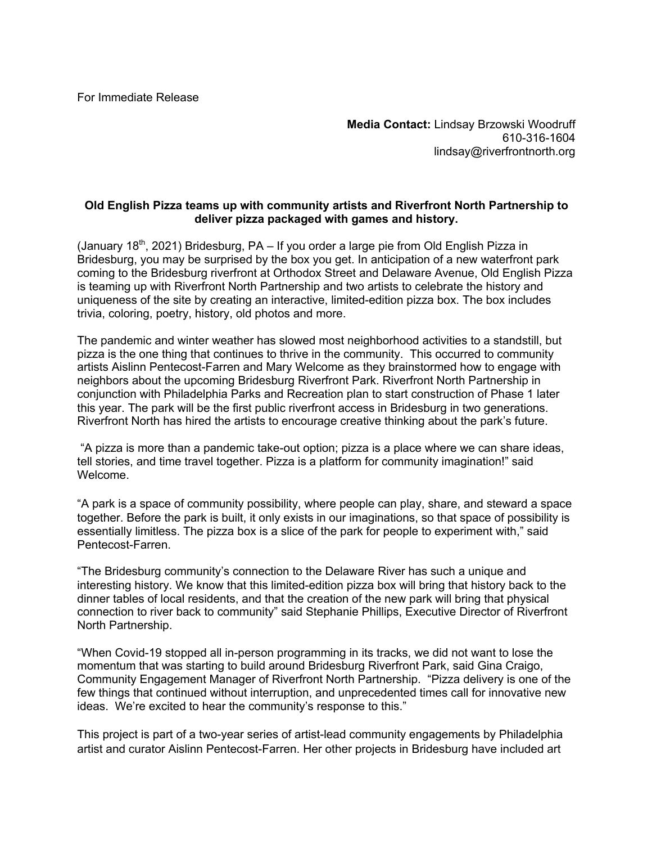For Immediate Release

**Media Contact:** Lindsay Brzowski Woodruff 610-316-1604 lindsay@riverfrontnorth.org

## **Old English Pizza teams up with community artists and Riverfront North Partnership to deliver pizza packaged with games and history.**

(January 18<sup>th</sup>, 2021) Bridesburg, PA – If you order a large pie from Old English Pizza in Bridesburg, you may be surprised by the box you get. In anticipation of a new waterfront park coming to the Bridesburg riverfront at Orthodox Street and Delaware Avenue, Old English Pizza is teaming up with Riverfront North Partnership and two artists to celebrate the history and uniqueness of the site by creating an interactive, limited-edition pizza box. The box includes trivia, coloring, poetry, history, old photos and more.

The pandemic and winter weather has slowed most neighborhood activities to a standstill, but pizza is the one thing that continues to thrive in the community. This occurred to community artists Aislinn Pentecost-Farren and Mary Welcome as they brainstormed how to engage with neighbors about the upcoming Bridesburg Riverfront Park. Riverfront North Partnership in conjunction with Philadelphia Parks and Recreation plan to start construction of Phase 1 later this year. The park will be the first public riverfront access in Bridesburg in two generations. Riverfront North has hired the artists to encourage creative thinking about the park's future.

"A pizza is more than a pandemic take-out option; pizza is a place where we can share ideas, tell stories, and time travel together. Pizza is a platform for community imagination!" said Welcome.

"A park is a space of community possibility, where people can play, share, and steward a space together. Before the park is built, it only exists in our imaginations, so that space of possibility is essentially limitless. The pizza box is a slice of the park for people to experiment with," said Pentecost-Farren.

"The Bridesburg community's connection to the Delaware River has such a unique and interesting history. We know that this limited-edition pizza box will bring that history back to the dinner tables of local residents, and that the creation of the new park will bring that physical connection to river back to community" said Stephanie Phillips, Executive Director of Riverfront North Partnership.

"When Covid-19 stopped all in-person programming in its tracks, we did not want to lose the momentum that was starting to build around Bridesburg Riverfront Park, said Gina Craigo, Community Engagement Manager of Riverfront North Partnership. "Pizza delivery is one of the few things that continued without interruption, and unprecedented times call for innovative new ideas. We're excited to hear the community's response to this."

This project is part of a two-year series of artist-lead community engagements by Philadelphia artist and curator Aislinn Pentecost-Farren. Her other projects in Bridesburg have included art